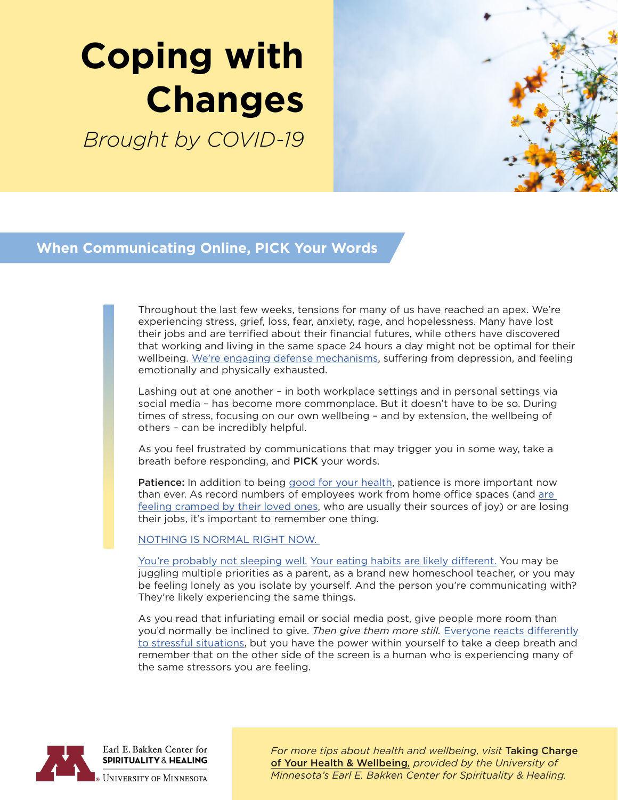# **Coping with Changes**

*Brought by COVID-19*



#### **When Communicating Online, PICK Your Words**

Throughout the last few weeks, tensions for many of us have reached an apex. We're experiencing stress, grief, loss, fear, anxiety, rage, and hopelessness. Many have lost their jobs and are terrified about their financial futures, while others have discovered that working and living in the same space 24 hours a day might not be optimal for their wellbeing. [We're engaging defense mechanisms,](https://www.psychologytoday.com/us/blog/joyful-parenting/202004/when-anger-coronavirus-is-displaced) suffering from depression, and feeling emotionally and physically exhausted.

Lashing out at one another – in both workplace settings and in personal settings via social media – has become more commonplace. But it doesn't have to be so. During times of stress, focusing on our own wellbeing – and by extension, the wellbeing of others – can be incredibly helpful.

As you feel frustrated by communications that may trigger you in some way, take a breath before responding, and PICK your words.

Patience: In addition to being [good for your health,](https://www.mayoclinic.org/healthy-lifestyle/stress-management/in-depth/3-ways-to-learn-patience-and-amp-up-your-well-being/art-20390072) patience is more important now than ever. As record numbers of employees work from home office spaces (and [are](https://www.usatoday.com/story/money/2020/03/27/coronavirus-working-home-has-couples-learning-lot-habits/2924071001/)  [feeling cramped by their loved ones,](https://www.usatoday.com/story/money/2020/03/27/coronavirus-working-home-has-couples-learning-lot-habits/2924071001/) who are usually their sources of joy) or are losing their jobs, it's important to remember one thing.

[NOTHING IS NORMAL RIGHT NOW.](https://giphy.com/gifs/schittscreek-pop-tv-schitts-creek-601-gLnipeJPKfGpmuRLiK) 

[You're probably not sleeping well.](https://www.wired.co.uk/article/coronavirus-sleep) [Your eating habits are likely different.](https://www.psychologytoday.com/us/blog/naked-truth/202003/how-curb-emotional-eating-during-the-covid-19-pandemic) You may be juggling multiple priorities as a parent, as a brand new homeschool teacher, or you may be feeling lonely as you isolate by yourself. And the person you're communicating with? They're likely experiencing the same things.

As you read that infuriating email or social media post, give people more room than you'd normally be inclined to give. *Then give them more still.* [Everyone reacts differently](https://www.cdc.gov/coronavirus/2019-ncov/daily-life-coping/managing-stress-anxiety.html)  [to stressful situations,](https://www.cdc.gov/coronavirus/2019-ncov/daily-life-coping/managing-stress-anxiety.html) but you have the power within yourself to take a deep breath and remember that on the other side of the screen is a human who is experiencing many of the same stressors you are feeling.



Earl E. Bakken Center for **SPIRITUALITY & HEALING** 

**UNIVERSITY OF MINNESOTA** 

*For more tips about health and wellbeing, visit* [Taking Charge](https://www.takingcharge.csh.umn.edu/)  [of Your Health & Wellbeing](https://www.takingcharge.csh.umn.edu/)*, provided by the University of Minnesota's Earl E. Bakken Center for Spirituality & Healing.*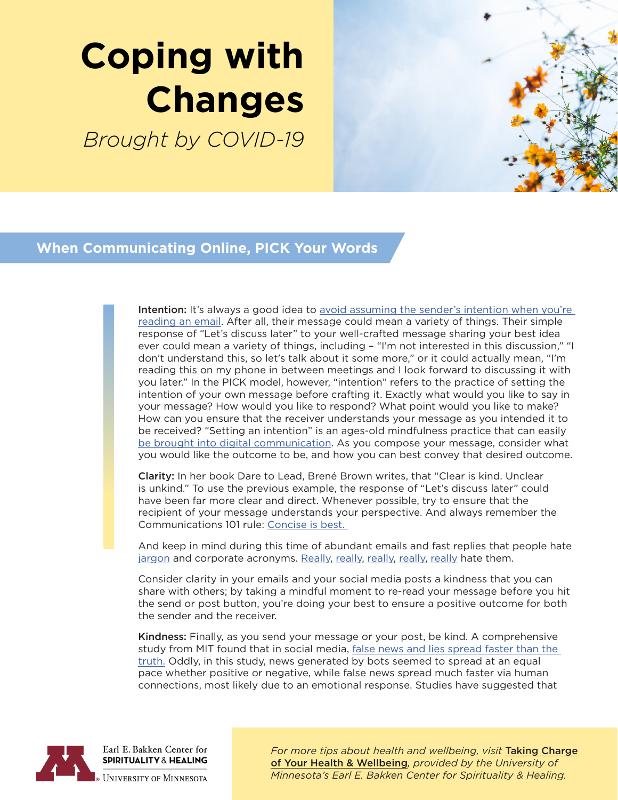# **Coping with Changes**

*Brought by COVID-19*



### **When Communicating Online, PICK Your Words**

Intention: It's always a good idea to avoid assuming the sender's intention when you're [reading an email.](https://www.psychologytoday.com/us/blog/threat-management/201311/dont-type-me-email-and-emotions) After all, their message could mean a variety of things. Their simple response of "Let's discuss later" to your well-crafted message sharing your best idea ever could mean a variety of things, including – "I'm not interested in this discussion," "I don't understand this, so let's talk about it some more," or it could actually mean, "I'm reading this on my phone in between meetings and I look forward to discussing it with you later." In the PICK model, however, "intention" refers to the practice of setting the intention of your own message before crafting it. Exactly what would you like to say in your message? How would you like to respond? What point would you like to make? How can you ensure that the receiver understands your message as you intended it to be received? "Setting an intention" is an ages-old mindfulness practice that can easily [be brought into digital communication.](https://www.inc.com/larry-kim/10-mindfulness-techniques-to-practice-at-work.html) As you compose your message, consider what you would like the outcome to be, and how you can best convey that desired outcome.

Clarity: In her book Dare to Lead, Brené Brown writes, that "Clear is kind. Unclear is unkind." To use the previous example, the response of "Let's discuss later" could have been far more clear and direct. Whenever possible, try to ensure that the recipient of your message understands your perspective. And always remember the Communications 101 rule: [Concise is best.](https://www.themuse.com/advice/are-your-emails-too-long-hint-probably) 

And keep in mind during this time of abundant emails and fast replies that people hate [jargon](https://www.inc.com/jeff-haden/40-buzzwords-that-make-smart-people-sound-stupid-most-overused-corporate-jargon.html) and corporate acronyms. [Really,](https://www.trustradius.com/buyer-blog/27-most-annoying-business-buzzwords-of-2019-explained) [really,](https://hbr.org/2018/02/if-we-all-hate-business-jargon-why-do-we-keep-using-it) [really,](https://www.theatlantic.com/health/archive/2020/02/most-annoying-corporate-buzzwords/606748/) [really,](https://www.psychologicalscience.org/observer/alienating-the-audience-how-abbreviations-hamper-scientific-communication) [really](https://www.articulatemarketing.com/blog/annoying-acronyms) hate them.

Consider clarity in your emails and your social media posts a kindness that you can share with others; by taking a mindful moment to re-read your message before you hit the send or post button, you're doing your best to ensure a positive outcome for both the sender and the receiver.

Kindness: Finally, as you send your message or your post, be kind. A comprehensive study from MIT found that in social media, [false news and lies spread faster than the](https://science.sciencemag.org/content/359/6380/1146?utm_source=SciPak%20%2528updated%206%252F30%252F2017%2529&utm_campaign=f996c5aa4d-EMAIL_CAMPAIGN_2018_03_02&utm_medium=email&utm_term=0_10c5e799a3-f996c5aa4d-126690501)  [truth.](https://science.sciencemag.org/content/359/6380/1146?utm_source=SciPak%20%2528updated%206%252F30%252F2017%2529&utm_campaign=f996c5aa4d-EMAIL_CAMPAIGN_2018_03_02&utm_medium=email&utm_term=0_10c5e799a3-f996c5aa4d-126690501) Oddly, in this study, news generated by bots seemed to spread at an equal pace whether positive or negative, while false news spread much faster via human connections, most likely due to an emotional response. Studies have suggested that



Earl E. Bakken Center for **SPIRITUALITY & HEALING** 

**UNIVERSITY OF MINNESOTA** 

*For more tips about health and wellbeing, visit* [Taking Charge](https://www.takingcharge.csh.umn.edu/)  [of Your Health & Wellbeing](https://www.takingcharge.csh.umn.edu/)*, provided by the University of Minnesota's Earl E. Bakken Center for Spirituality & Healing.*